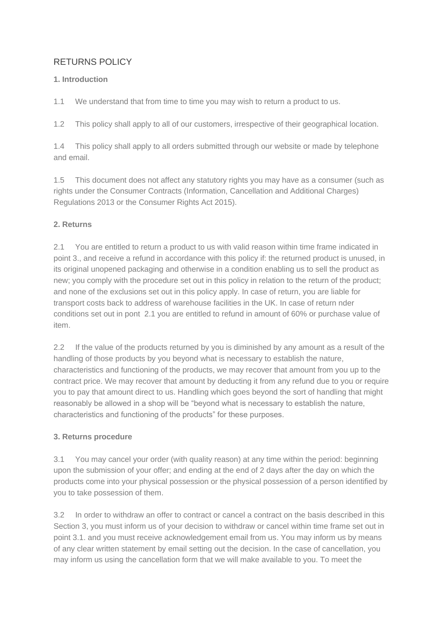# RETURNS POLICY

## **1. Introduction**

1.1 We understand that from time to time you may wish to return a product to us.

1.2 This policy shall apply to all of our customers, irrespective of their geographical location.

1.4 This policy shall apply to all orders submitted through our website or made by telephone and email.

1.5 This document does not affect any statutory rights you may have as a consumer (such as rights under the Consumer Contracts (Information, Cancellation and Additional Charges) Regulations 2013 or the Consumer Rights Act 2015).

# **2. Returns**

2.1 You are entitled to return a product to us with valid reason within time frame indicated in point 3., and receive a refund in accordance with this policy if: the returned product is unused, in its original unopened packaging and otherwise in a condition enabling us to sell the product as new; you comply with the procedure set out in this policy in relation to the return of the product; and none of the exclusions set out in this policy apply. In case of return, you are liable for transport costs back to address of warehouse facilities in the UK. In case of return nder conditions set out in pont 2.1 you are entitled to refund in amount of 60% or purchase value of item.

2.2 If the value of the products returned by you is diminished by any amount as a result of the handling of those products by you beyond what is necessary to establish the nature, characteristics and functioning of the products, we may recover that amount from you up to the contract price. We may recover that amount by deducting it from any refund due to you or require you to pay that amount direct to us. Handling which goes beyond the sort of handling that might reasonably be allowed in a shop will be "beyond what is necessary to establish the nature, characteristics and functioning of the products" for these purposes.

## **3. Returns procedure**

3.1 You may cancel your order (with quality reason) at any time within the period: beginning upon the submission of your offer; and ending at the end of 2 days after the day on which the products come into your physical possession or the physical possession of a person identified by you to take possession of them.

3.2 In order to withdraw an offer to contract or cancel a contract on the basis described in this Section 3, you must inform us of your decision to withdraw or cancel within time frame set out in point 3.1. and you must receive acknowledgement email from us. You may inform us by means of any clear written statement by email setting out the decision. In the case of cancellation, you may inform us using the cancellation form that we will make available to you. To meet the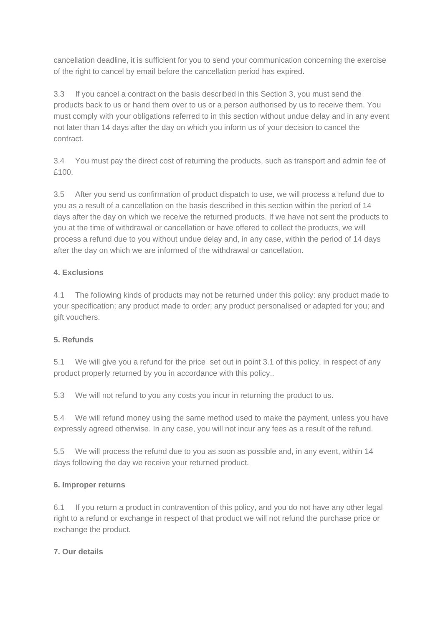cancellation deadline, it is sufficient for you to send your communication concerning the exercise of the right to cancel by email before the cancellation period has expired.

3.3 If you cancel a contract on the basis described in this Section 3, you must send the products back to us or hand them over to us or a person authorised by us to receive them. You must comply with your obligations referred to in this section without undue delay and in any event not later than 14 days after the day on which you inform us of your decision to cancel the contract.

3.4 You must pay the direct cost of returning the products, such as transport and admin fee of £100.

3.5 After you send us confirmation of product dispatch to use, we will process a refund due to you as a result of a cancellation on the basis described in this section within the period of 14 days after the day on which we receive the returned products. If we have not sent the products to you at the time of withdrawal or cancellation or have offered to collect the products, we will process a refund due to you without undue delay and, in any case, within the period of 14 days after the day on which we are informed of the withdrawal or cancellation.

### **4. Exclusions**

4.1 The following kinds of products may not be returned under this policy: any product made to your specification; any product made to order; any product personalised or adapted for you; and gift vouchers.

## **5. Refunds**

5.1 We will give you a refund for the price set out in point 3.1 of this policy, in respect of any product properly returned by you in accordance with this policy..

5.3 We will not refund to you any costs you incur in returning the product to us.

5.4 We will refund money using the same method used to make the payment, unless you have expressly agreed otherwise. In any case, you will not incur any fees as a result of the refund.

5.5 We will process the refund due to you as soon as possible and, in any event, within 14 days following the day we receive your returned product.

### **6. Improper returns**

6.1 If you return a product in contravention of this policy, and you do not have any other legal right to a refund or exchange in respect of that product we will not refund the purchase price or exchange the product.

### **7. Our details**